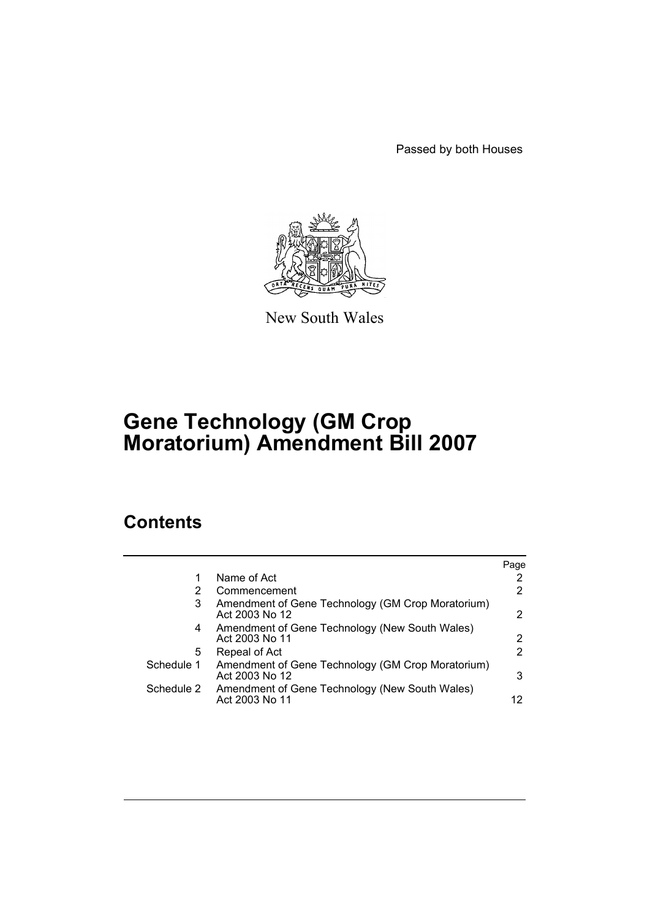Passed by both Houses



New South Wales

# **Gene Technology (GM Crop Moratorium) Amendment Bill 2007**

# **Contents**

|            |                                                                     | Page |
|------------|---------------------------------------------------------------------|------|
|            | Name of Act                                                         |      |
|            | Commencement                                                        | 2    |
| 3          | Amendment of Gene Technology (GM Crop Moratorium)<br>Act 2003 No 12 | 2    |
| 4          | Amendment of Gene Technology (New South Wales)<br>Act 2003 No 11    | 2    |
| 5          | Repeal of Act                                                       | 2    |
| Schedule 1 | Amendment of Gene Technology (GM Crop Moratorium)<br>Act 2003 No 12 | 3    |
| Schedule 2 | Amendment of Gene Technology (New South Wales)<br>Act 2003 No 11    | 12   |
|            |                                                                     |      |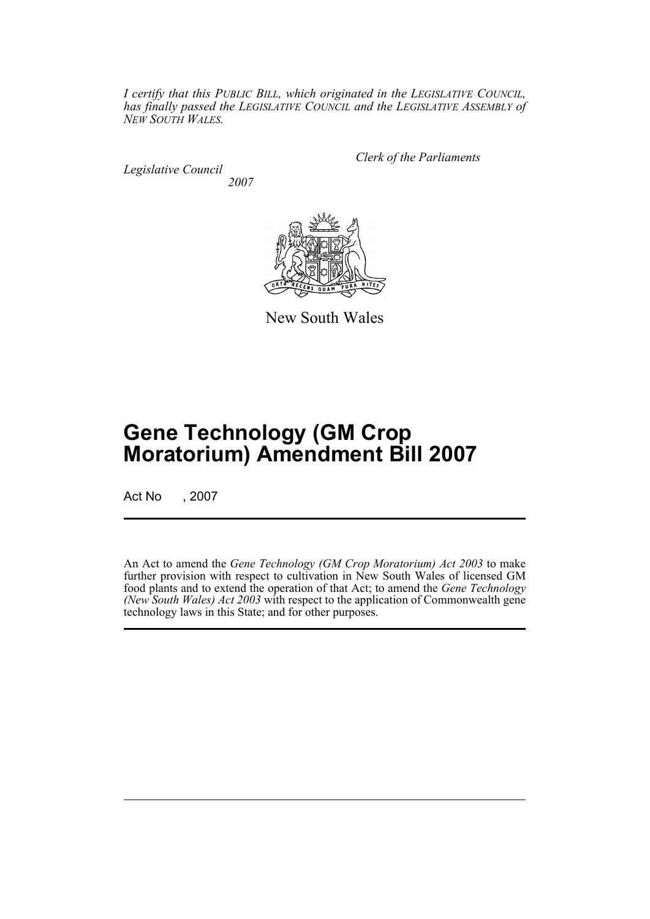*I certify that this PUBLIC BILL, which originated in the LEGISLATIVE COUNCIL, has finally passed the LEGISLATIVE COUNCIL and the LEGISLATIVE ASSEMBLY of NEW SOUTH WALES.*

*Legislative Council 2007* *Clerk of the Parliaments*



New South Wales

# **Gene Technology (GM Crop Moratorium) Amendment Bill 2007**

Act No , 2007

An Act to amend the *Gene Technology (GM Crop Moratorium) Act 2003* to make further provision with respect to cultivation in New South Wales of licensed GM food plants and to extend the operation of that Act; to amend the *Gene Technology (New South Wales) Act 2003* with respect to the application of Commonwealth gene technology laws in this State; and for other purposes.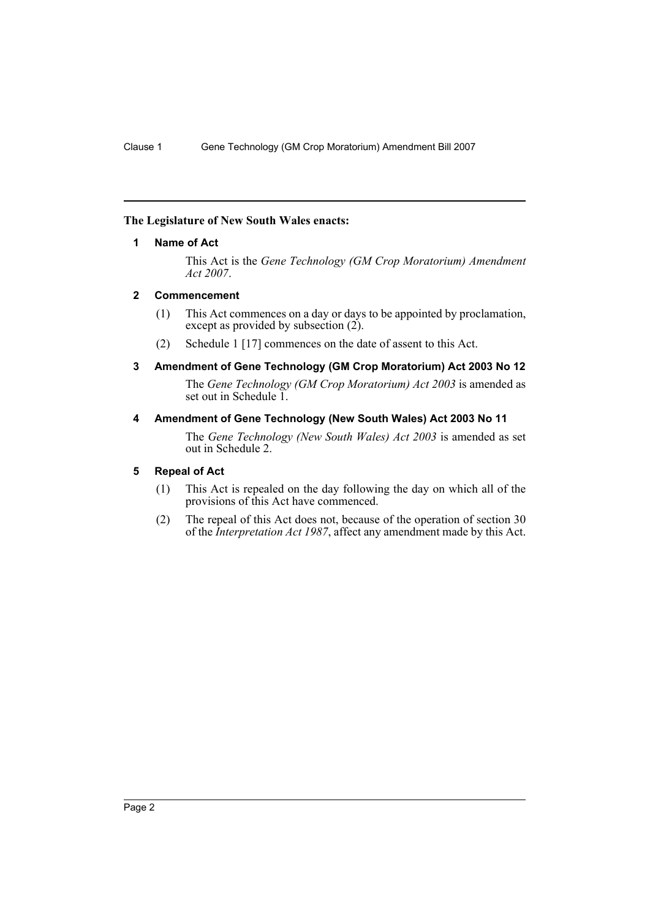# <span id="page-2-0"></span>**The Legislature of New South Wales enacts:**

# **1 Name of Act**

This Act is the *Gene Technology (GM Crop Moratorium) Amendment Act 2007*.

# <span id="page-2-1"></span>**2 Commencement**

- (1) This Act commences on a day or days to be appointed by proclamation, except as provided by subsection (2).
- (2) Schedule 1 [17] commences on the date of assent to this Act.

# <span id="page-2-2"></span>**3 Amendment of Gene Technology (GM Crop Moratorium) Act 2003 No 12**

The *Gene Technology (GM Crop Moratorium) Act 2003* is amended as set out in Schedule 1.

# <span id="page-2-3"></span>**4 Amendment of Gene Technology (New South Wales) Act 2003 No 11**

The *Gene Technology (New South Wales) Act 2003* is amended as set out in Schedule 2.

# <span id="page-2-4"></span>**5 Repeal of Act**

- (1) This Act is repealed on the day following the day on which all of the provisions of this Act have commenced.
- (2) The repeal of this Act does not, because of the operation of section 30 of the *Interpretation Act 1987*, affect any amendment made by this Act.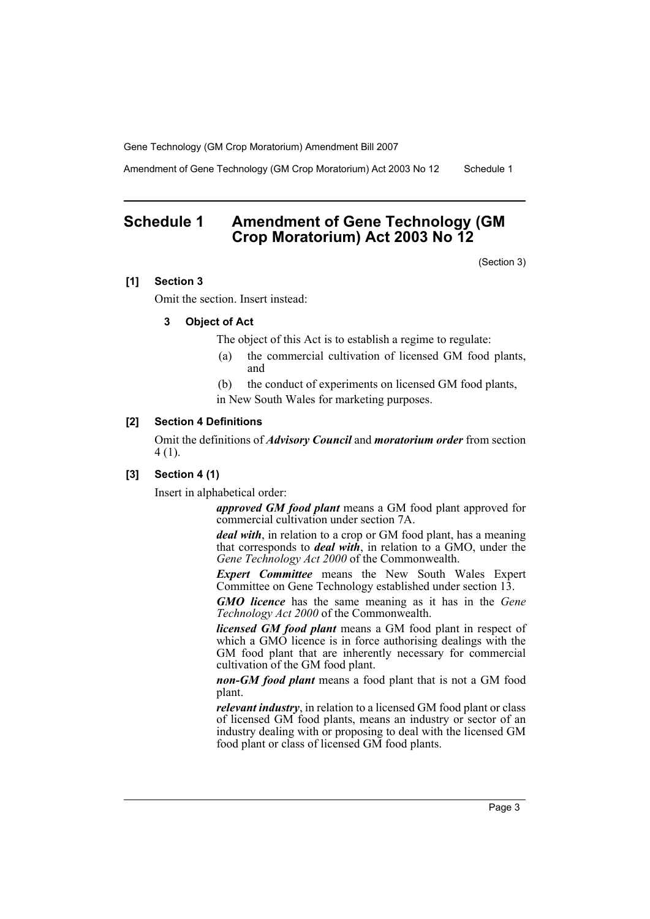Amendment of Gene Technology (GM Crop Moratorium) Act 2003 No 12 Schedule 1

# <span id="page-3-0"></span>**Schedule 1 Amendment of Gene Technology (GM Crop Moratorium) Act 2003 No 12**

(Section 3)

# **[1] Section 3**

Omit the section. Insert instead:

# **3 Object of Act**

The object of this Act is to establish a regime to regulate:

- (a) the commercial cultivation of licensed GM food plants, and
- (b) the conduct of experiments on licensed GM food plants, in New South Wales for marketing purposes.

#### **[2] Section 4 Definitions**

Omit the definitions of *Advisory Council* and *moratorium order* from section 4 (1).

# **[3] Section 4 (1)**

Insert in alphabetical order:

*approved GM food plant* means a GM food plant approved for commercial cultivation under section 7A.

*deal with*, in relation to a crop or GM food plant, has a meaning that corresponds to *deal with*, in relation to a GMO, under the *Gene Technology Act 2000* of the Commonwealth.

*Expert Committee* means the New South Wales Expert Committee on Gene Technology established under section 13.

*GMO licence* has the same meaning as it has in the *Gene Technology Act 2000* of the Commonwealth.

*licensed GM food plant* means a GM food plant in respect of which a GMO licence is in force authorising dealings with the GM food plant that are inherently necessary for commercial cultivation of the GM food plant.

*non-GM food plant* means a food plant that is not a GM food plant.

*relevant industry*, in relation to a licensed GM food plant or class of licensed GM food plants, means an industry or sector of an industry dealing with or proposing to deal with the licensed GM food plant or class of licensed GM food plants.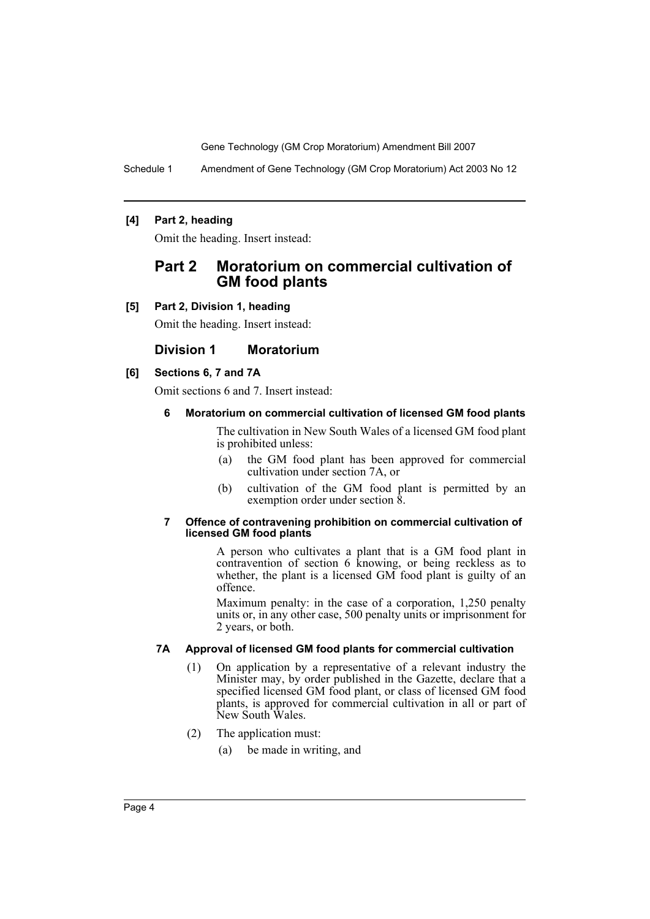Schedule 1 Amendment of Gene Technology (GM Crop Moratorium) Act 2003 No 12

# **[4] Part 2, heading**

Omit the heading. Insert instead:

# **Part 2 Moratorium on commercial cultivation of GM food plants**

**[5] Part 2, Division 1, heading**

Omit the heading. Insert instead:

# **Division 1 Moratorium**

# **[6] Sections 6, 7 and 7A**

Omit sections 6 and 7. Insert instead:

#### **6 Moratorium on commercial cultivation of licensed GM food plants**

The cultivation in New South Wales of a licensed GM food plant is prohibited unless:

- (a) the GM food plant has been approved for commercial cultivation under section 7A, or
- (b) cultivation of the GM food plant is permitted by an exemption order under section 8.

#### **7 Offence of contravening prohibition on commercial cultivation of licensed GM food plants**

A person who cultivates a plant that is a GM food plant in contravention of section 6 knowing, or being reckless as to whether, the plant is a licensed GM food plant is guilty of an offence.

Maximum penalty: in the case of a corporation, 1,250 penalty units or, in any other case, 500 penalty units or imprisonment for 2 years, or both.

#### **7A Approval of licensed GM food plants for commercial cultivation**

- (1) On application by a representative of a relevant industry the Minister may, by order published in the Gazette, declare that a specified licensed GM food plant, or class of licensed GM food plants, is approved for commercial cultivation in all or part of New South Wales.
- (2) The application must:
	- (a) be made in writing, and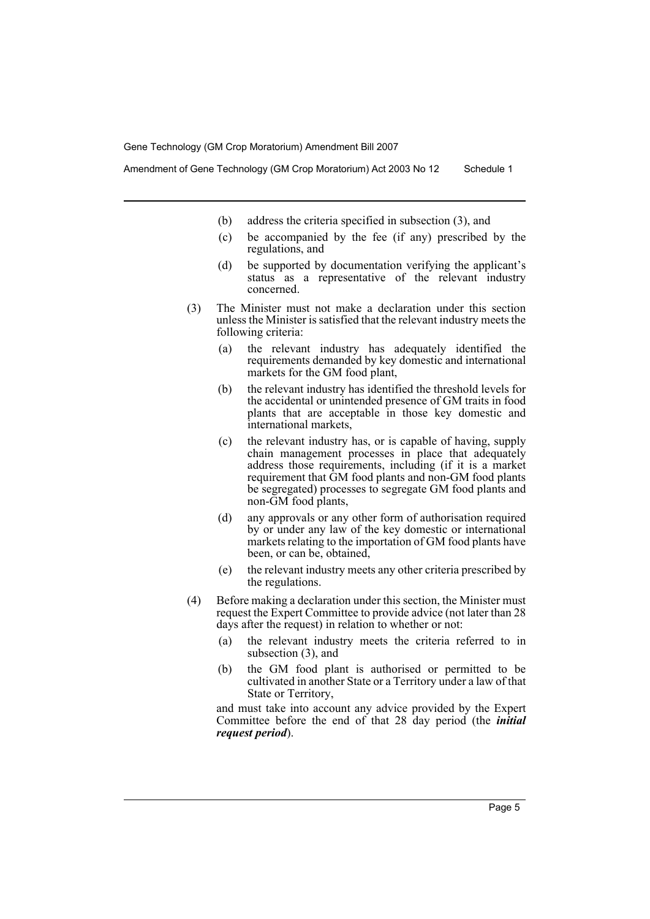Amendment of Gene Technology (GM Crop Moratorium) Act 2003 No 12 Schedule 1

- (b) address the criteria specified in subsection (3), and
- (c) be accompanied by the fee (if any) prescribed by the regulations, and
- (d) be supported by documentation verifying the applicant's status as a representative of the relevant industry concerned.
- (3) The Minister must not make a declaration under this section unless the Minister is satisfied that the relevant industry meets the following criteria:
	- (a) the relevant industry has adequately identified the requirements demanded by key domestic and international markets for the GM food plant,
	- (b) the relevant industry has identified the threshold levels for the accidental or unintended presence of GM traits in food plants that are acceptable in those key domestic and international markets,
	- (c) the relevant industry has, or is capable of having, supply chain management processes in place that adequately address those requirements, including (if it is a market requirement that GM food plants and non-GM food plants be segregated) processes to segregate GM food plants and non-GM food plants,
	- (d) any approvals or any other form of authorisation required by or under any law of the key domestic or international markets relating to the importation of GM food plants have been, or can be, obtained,
	- (e) the relevant industry meets any other criteria prescribed by the regulations.
- (4) Before making a declaration under this section, the Minister must request the Expert Committee to provide advice (not later than 28 days after the request) in relation to whether or not:
	- (a) the relevant industry meets the criteria referred to in subsection (3), and
	- (b) the GM food plant is authorised or permitted to be cultivated in another State or a Territory under a law of that State or Territory,

and must take into account any advice provided by the Expert Committee before the end of that 28 day period (the *initial request period*).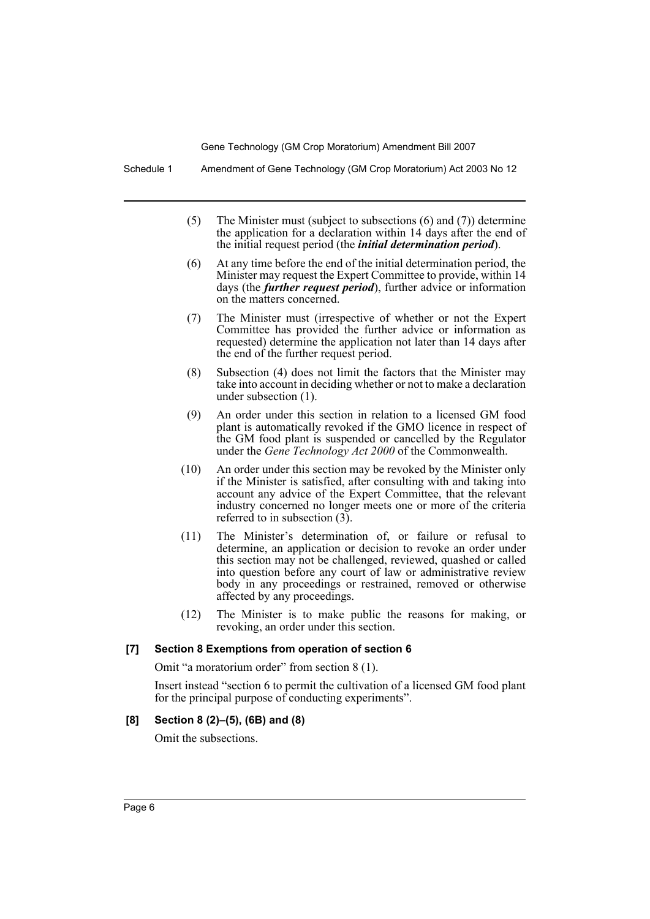Schedule 1 Amendment of Gene Technology (GM Crop Moratorium) Act 2003 No 12

- (5) The Minister must (subject to subsections (6) and (7)) determine the application for a declaration within 14 days after the end of the initial request period (the *initial determination period*).
- (6) At any time before the end of the initial determination period, the Minister may request the Expert Committee to provide, within 14 days (the *further request period*), further advice or information on the matters concerned.
- (7) The Minister must (irrespective of whether or not the Expert Committee has provided the further advice or information as requested) determine the application not later than 14 days after the end of the further request period.
- (8) Subsection (4) does not limit the factors that the Minister may take into account in deciding whether or not to make a declaration under subsection (1).
- (9) An order under this section in relation to a licensed GM food plant is automatically revoked if the GMO licence in respect of the GM food plant is suspended or cancelled by the Regulator under the *Gene Technology Act 2000* of the Commonwealth.
- (10) An order under this section may be revoked by the Minister only if the Minister is satisfied, after consulting with and taking into account any advice of the Expert Committee, that the relevant industry concerned no longer meets one or more of the criteria referred to in subsection (3).
- (11) The Minister's determination of, or failure or refusal to determine, an application or decision to revoke an order under this section may not be challenged, reviewed, quashed or called into question before any court of law or administrative review body in any proceedings or restrained, removed or otherwise affected by any proceedings.
- (12) The Minister is to make public the reasons for making, or revoking, an order under this section.

# **[7] Section 8 Exemptions from operation of section 6**

Omit "a moratorium order" from section 8 (1).

Insert instead "section 6 to permit the cultivation of a licensed GM food plant for the principal purpose of conducting experiments".

#### **[8] Section 8 (2)–(5), (6B) and (8)**

Omit the subsections.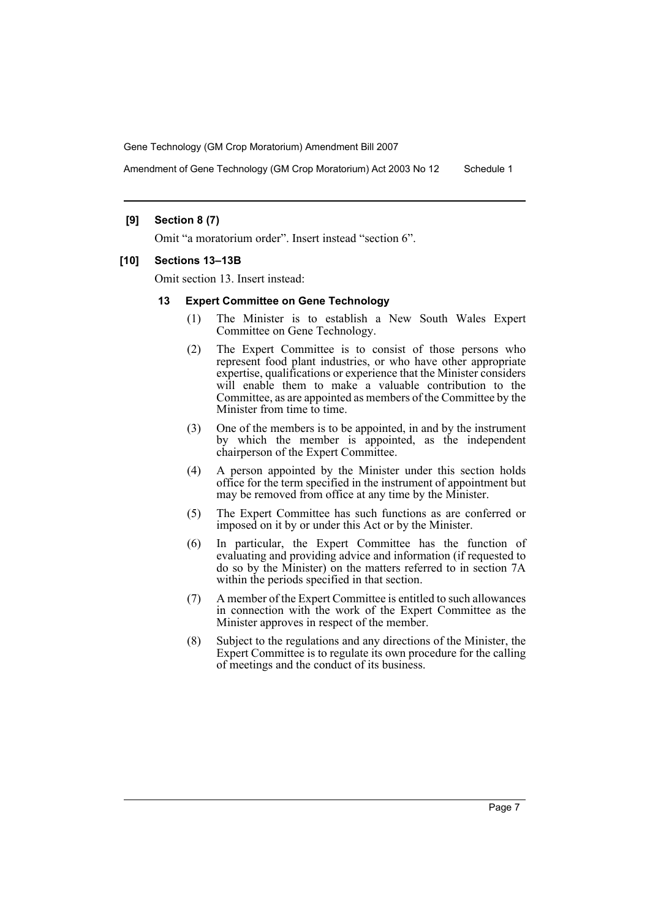Amendment of Gene Technology (GM Crop Moratorium) Act 2003 No 12 Schedule 1

# **[9] Section 8 (7)**

Omit "a moratorium order". Insert instead "section 6".

#### **[10] Sections 13–13B**

Omit section 13. Insert instead:

#### **13 Expert Committee on Gene Technology**

- (1) The Minister is to establish a New South Wales Expert Committee on Gene Technology.
- (2) The Expert Committee is to consist of those persons who represent food plant industries, or who have other appropriate expertise, qualifications or experience that the Minister considers will enable them to make a valuable contribution to the Committee, as are appointed as members of the Committee by the Minister from time to time.
- (3) One of the members is to be appointed, in and by the instrument by which the member is appointed, as the independent chairperson of the Expert Committee.
- (4) A person appointed by the Minister under this section holds office for the term specified in the instrument of appointment but may be removed from office at any time by the Minister.
- (5) The Expert Committee has such functions as are conferred or imposed on it by or under this Act or by the Minister.
- (6) In particular, the Expert Committee has the function of evaluating and providing advice and information (if requested to do so by the Minister) on the matters referred to in section 7A within the periods specified in that section.
- (7) A member of the Expert Committee is entitled to such allowances in connection with the work of the Expert Committee as the Minister approves in respect of the member.
- (8) Subject to the regulations and any directions of the Minister, the Expert Committee is to regulate its own procedure for the calling of meetings and the conduct of its business.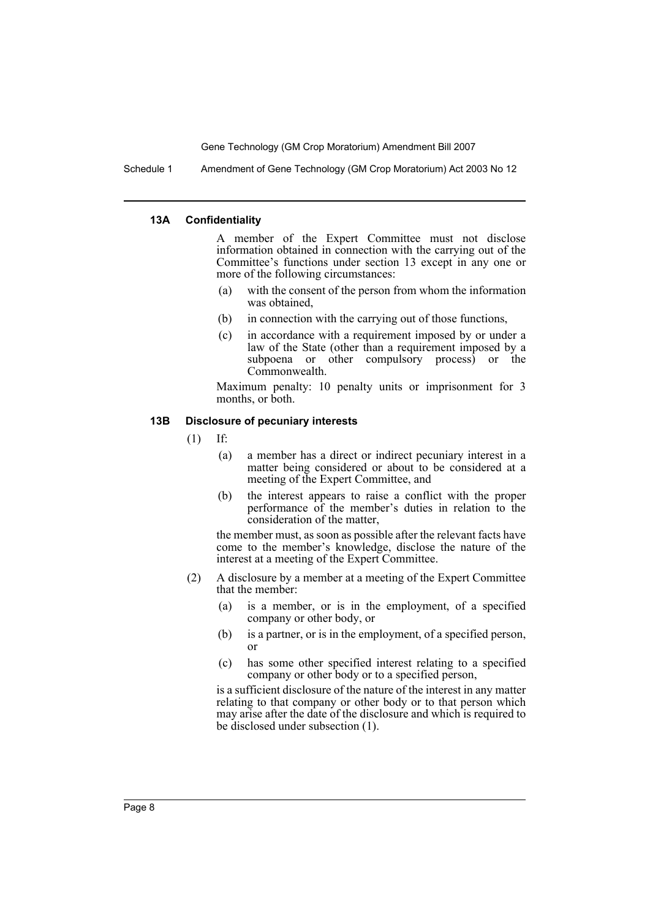Schedule 1 Amendment of Gene Technology (GM Crop Moratorium) Act 2003 No 12

#### **13A Confidentiality**

A member of the Expert Committee must not disclose information obtained in connection with the carrying out of the Committee's functions under section 13 except in any one or more of the following circumstances:

- (a) with the consent of the person from whom the information was obtained,
- (b) in connection with the carrying out of those functions,
- (c) in accordance with a requirement imposed by or under a law of the State (other than a requirement imposed by a subpoena or other compulsory process) or the Commonwealth.

Maximum penalty: 10 penalty units or imprisonment for 3 months, or both.

#### **13B Disclosure of pecuniary interests**

- (1) If:
	- (a) a member has a direct or indirect pecuniary interest in a matter being considered or about to be considered at a meeting of the Expert Committee, and
	- (b) the interest appears to raise a conflict with the proper performance of the member's duties in relation to the consideration of the matter,

the member must, as soon as possible after the relevant facts have come to the member's knowledge, disclose the nature of the interest at a meeting of the Expert Committee.

- (2) A disclosure by a member at a meeting of the Expert Committee that the member:
	- (a) is a member, or is in the employment, of a specified company or other body, or
	- (b) is a partner, or is in the employment, of a specified person, or
	- (c) has some other specified interest relating to a specified company or other body or to a specified person,

is a sufficient disclosure of the nature of the interest in any matter relating to that company or other body or to that person which may arise after the date of the disclosure and which is required to be disclosed under subsection (1).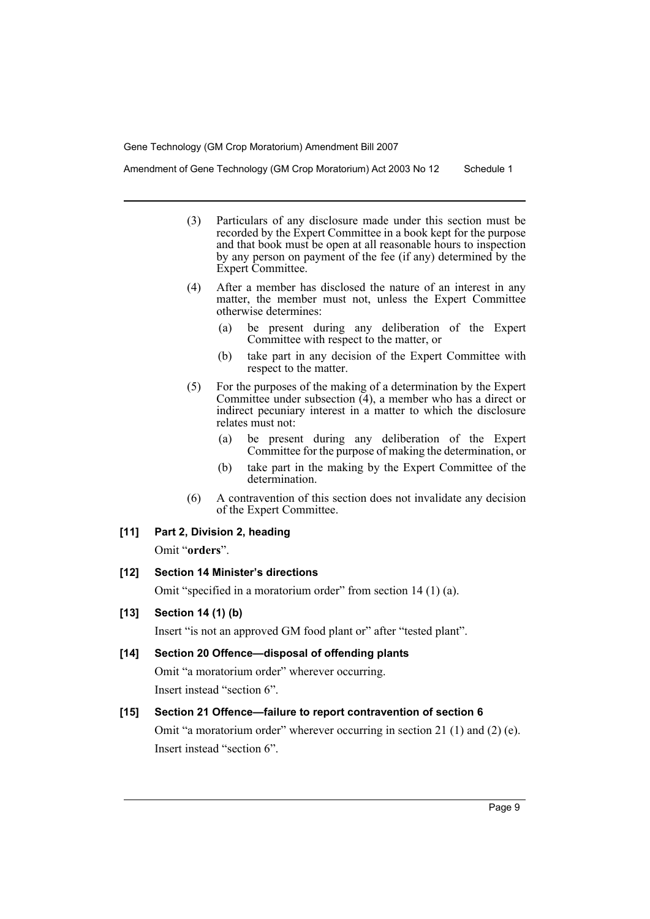Amendment of Gene Technology (GM Crop Moratorium) Act 2003 No 12 Schedule 1

- (3) Particulars of any disclosure made under this section must be recorded by the Expert Committee in a book kept for the purpose and that book must be open at all reasonable hours to inspection by any person on payment of the fee (if any) determined by the Expert Committee.
- (4) After a member has disclosed the nature of an interest in any matter, the member must not, unless the Expert Committee otherwise determines:
	- (a) be present during any deliberation of the Expert Committee with respect to the matter, or
	- (b) take part in any decision of the Expert Committee with respect to the matter.
- (5) For the purposes of the making of a determination by the Expert Committee under subsection (4), a member who has a direct or indirect pecuniary interest in a matter to which the disclosure relates must not:
	- (a) be present during any deliberation of the Expert Committee for the purpose of making the determination, or
	- (b) take part in the making by the Expert Committee of the determination.
- (6) A contravention of this section does not invalidate any decision of the Expert Committee.

#### **[11] Part 2, Division 2, heading**

Omit "**orders**".

# **[12] Section 14 Minister's directions**

Omit "specified in a moratorium order" from section 14 (1) (a).

# **[13] Section 14 (1) (b)**

Insert "is not an approved GM food plant or" after "tested plant".

#### **[14] Section 20 Offence—disposal of offending plants**

Omit "a moratorium order" wherever occurring. Insert instead "section 6".

#### **[15] Section 21 Offence—failure to report contravention of section 6**

Omit "a moratorium order" wherever occurring in section 21 (1) and (2) (e). Insert instead "section 6".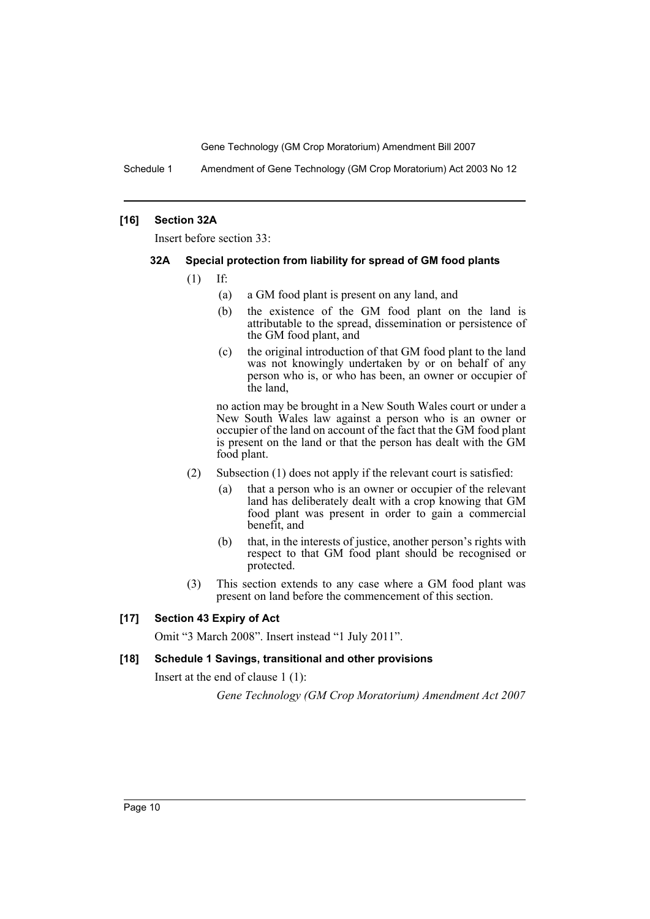Schedule 1 Amendment of Gene Technology (GM Crop Moratorium) Act 2003 No 12

# **[16] Section 32A**

Insert before section 33:

# **32A Special protection from liability for spread of GM food plants**

- (1) If:
	- (a) a GM food plant is present on any land, and
	- (b) the existence of the GM food plant on the land is attributable to the spread, dissemination or persistence of the GM food plant, and
	- (c) the original introduction of that GM food plant to the land was not knowingly undertaken by or on behalf of any person who is, or who has been, an owner or occupier of the land,

no action may be brought in a New South Wales court or under a New South Wales law against a person who is an owner or occupier of the land on account of the fact that the GM food plant is present on the land or that the person has dealt with the GM food plant.

- (2) Subsection (1) does not apply if the relevant court is satisfied:
	- (a) that a person who is an owner or occupier of the relevant land has deliberately dealt with a crop knowing that GM food plant was present in order to gain a commercial benefit, and
	- (b) that, in the interests of justice, another person's rights with respect to that GM food plant should be recognised or protected.
- (3) This section extends to any case where a GM food plant was present on land before the commencement of this section.

# **[17] Section 43 Expiry of Act**

Omit "3 March 2008". Insert instead "1 July 2011".

# **[18] Schedule 1 Savings, transitional and other provisions**

Insert at the end of clause 1 (1):

*Gene Technology (GM Crop Moratorium) Amendment Act 2007*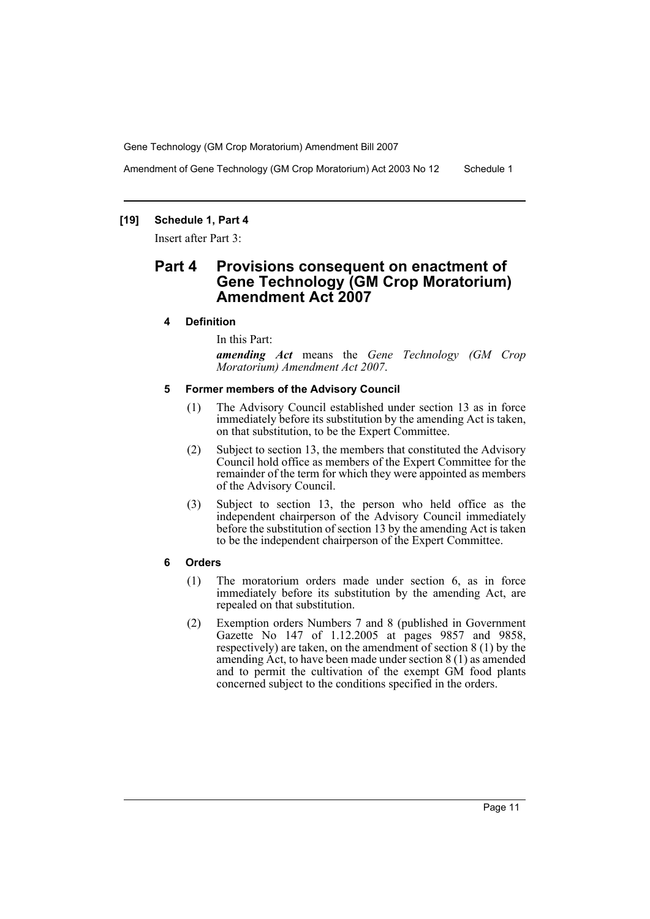Amendment of Gene Technology (GM Crop Moratorium) Act 2003 No 12 Schedule 1

# **[19] Schedule 1, Part 4**

Insert after Part 3:

# **Part 4 Provisions consequent on enactment of Gene Technology (GM Crop Moratorium) Amendment Act 2007**

#### **4 Definition**

In this Part:

*amending Act* means the *Gene Technology (GM Crop Moratorium) Amendment Act 2007*.

#### **5 Former members of the Advisory Council**

- (1) The Advisory Council established under section 13 as in force immediately before its substitution by the amending Act is taken, on that substitution, to be the Expert Committee.
- (2) Subject to section 13, the members that constituted the Advisory Council hold office as members of the Expert Committee for the remainder of the term for which they were appointed as members of the Advisory Council.
- (3) Subject to section 13, the person who held office as the independent chairperson of the Advisory Council immediately before the substitution of section 13 by the amending Act is taken to be the independent chairperson of the Expert Committee.

#### **6 Orders**

- (1) The moratorium orders made under section 6, as in force immediately before its substitution by the amending Act, are repealed on that substitution.
- (2) Exemption orders Numbers 7 and 8 (published in Government Gazette No 147 of 1.12.2005 at pages 9857 and 9858, respectively) are taken, on the amendment of section 8 (1) by the amending Act, to have been made under section 8 (1) as amended and to permit the cultivation of the exempt GM food plants concerned subject to the conditions specified in the orders.